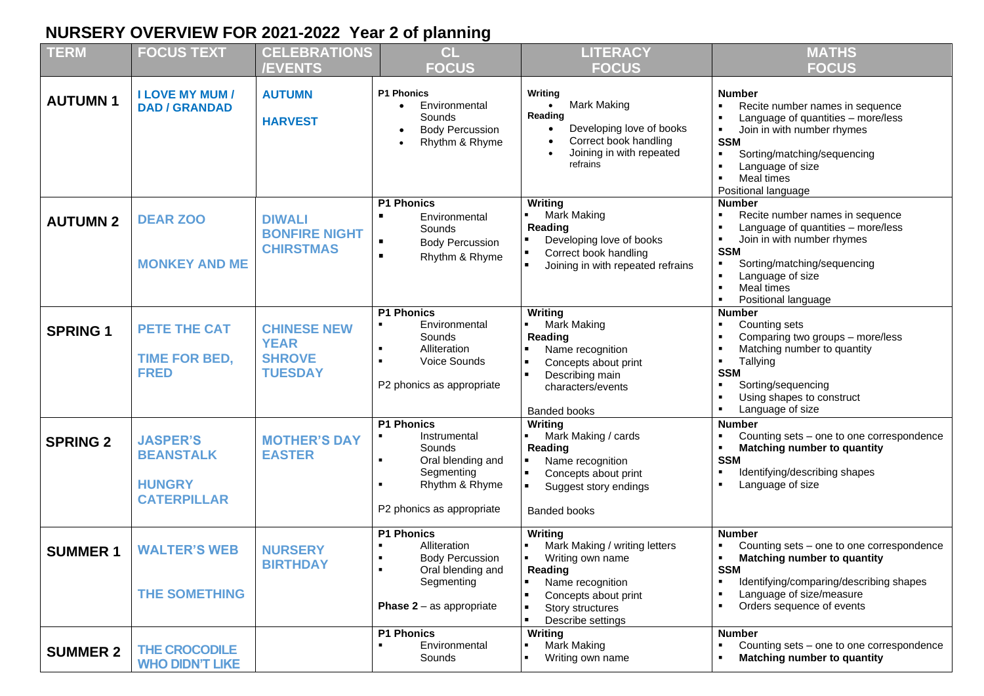## **NURSERY OVERVIEW FOR 2021-2022 Year 2 of planning**

| <b>TERM</b>     | <b>FOCUS TEXT</b>                                                          | <b>CELEBRATIONS</b><br><b>/EVENTS</b>                                | CL<br><b>FOCUS</b>                                                                                                                                                                  | <b>LITERACY</b><br><b>FOCUS</b>                                                                                                                                                | <b>MATHS</b><br><b>FOCUS</b>                                                                                                                                                                                                                                                          |
|-----------------|----------------------------------------------------------------------------|----------------------------------------------------------------------|-------------------------------------------------------------------------------------------------------------------------------------------------------------------------------------|--------------------------------------------------------------------------------------------------------------------------------------------------------------------------------|---------------------------------------------------------------------------------------------------------------------------------------------------------------------------------------------------------------------------------------------------------------------------------------|
| <b>AUTUMN1</b>  | <b>I LOVE MY MUM /</b><br><b>DAD / GRANDAD</b>                             | <b>AUTUMN</b><br><b>HARVEST</b>                                      | <b>P1 Phonics</b><br>Environmental<br>Sounds<br><b>Body Percussion</b><br>Rhythm & Rhyme<br>$\bullet$                                                                               | Writing<br>Mark Making<br>$\bullet$<br>Reading<br>Developing love of books<br>Correct book handling<br>Joining in with repeated<br>refrains                                    | <b>Number</b><br>Recite number names in sequence<br>Language of quantities - more/less<br>Join in with number rhymes<br>$\blacksquare$<br><b>SSM</b><br>Sorting/matching/sequencing<br>٠<br>Language of size<br>$\blacksquare$<br>Meal times<br>$\blacksquare$<br>Positional language |
| <b>AUTUMN 2</b> | <b>DEAR ZOO</b><br><b>MONKEY AND ME</b>                                    | <b>DIWALI</b><br><b>BONFIRE NIGHT</b><br><b>CHIRSTMAS</b>            | <b>P1 Phonics</b><br>$\blacksquare$<br>Environmental<br>Sounds<br><b>Body Percussion</b><br>$\blacksquare$<br>$\blacksquare$<br>Rhythm & Rhyme                                      | Writing<br>Mark Making<br>Reading<br>Developing love of books<br>Correct book handling<br>Joining in with repeated refrains                                                    | <b>Number</b><br>Recite number names in sequence<br>Language of quantities - more/less<br>$\blacksquare$<br>Join in with number rhymes<br>٠<br><b>SSM</b><br>Sorting/matching/sequencing<br>Language of size<br>$\blacksquare$<br>Meal times<br>$\blacksquare$<br>Positional language |
| <b>SPRING 1</b> | <b>PETE THE CAT</b><br><b>TIME FOR BED,</b><br><b>FRED</b>                 | <b>CHINESE NEW</b><br><b>YEAR</b><br><b>SHROVE</b><br><b>TUESDAY</b> | <b>P1 Phonics</b><br>Environmental<br>$\blacksquare$<br>Sounds<br>Alliteration<br>$\blacksquare$<br>$\bullet$<br>Voice Sounds<br>P2 phonics as appropriate                          | Writing<br>Mark Making<br>Reading<br>Name recognition<br>Concepts about print<br>Describing main<br>characters/events<br><b>Banded books</b>                                   | <b>Number</b><br>Counting sets<br>٠<br>Comparing two groups - more/less<br>Matching number to quantity<br>$\blacksquare$<br>Tallying<br><b>SSM</b><br>Sorting/sequencing<br>٠<br>Using shapes to construct<br>Language of size<br>$\blacksquare$                                      |
| <b>SPRING 2</b> | <b>JASPER'S</b><br><b>BEANSTALK</b><br><b>HUNGRY</b><br><b>CATERPILLAR</b> | <b>MOTHER'S DAY</b><br><b>EASTER</b>                                 | <b>P1 Phonics</b><br>Instrumental<br>$\blacksquare$<br>Sounds<br>Oral blending and<br>$\blacksquare$<br>Segmenting<br>Rhythm & Rhyme<br>$\blacksquare$<br>P2 phonics as appropriate | Writing<br>Mark Making / cards<br>Reading<br>Name recognition<br>Concepts about print<br>Suggest story endings<br><b>Banded books</b>                                          | <b>Number</b><br>Counting sets - one to one correspondence<br>٠<br>Matching number to quantity<br>٠<br><b>SSM</b><br>Identifying/describing shapes<br>$\blacksquare$<br>Language of size<br>$\blacksquare$                                                                            |
| <b>SUMMER 1</b> | <b>WALTER'S WEB</b><br><b>THE SOMETHING</b>                                | <b>NURSERY</b><br><b>BIRTHDAY</b>                                    | <b>P1 Phonics</b><br>Alliteration<br><b>Body Percussion</b><br>л.<br>Oral blending and<br>Segmenting<br><b>Phase 2</b> – as appropriate                                             | Writing<br>Mark Making / writing letters<br>Writing own name<br>Reading<br>Name recognition<br>Concepts about print<br>Story structures<br>$\blacksquare$<br>Describe settings | <b>Number</b><br>Counting sets - one to one correspondence<br><b>Matching number to quantity</b><br>$\blacksquare$<br><b>SSM</b><br>Identifying/comparing/describing shapes<br>$\blacksquare$<br>Language of size/measure<br>Orders sequence of events<br>$\blacksquare$              |
| <b>SUMMER 2</b> | <b>THE CROCODILE</b><br><b>WHO DIDN'T LIKE</b>                             |                                                                      | <b>P1 Phonics</b><br>Environmental<br>Sounds                                                                                                                                        | Writing<br>Mark Making<br>Writing own name                                                                                                                                     | <b>Number</b><br>Counting sets - one to one correspondence<br>Matching number to quantity                                                                                                                                                                                             |